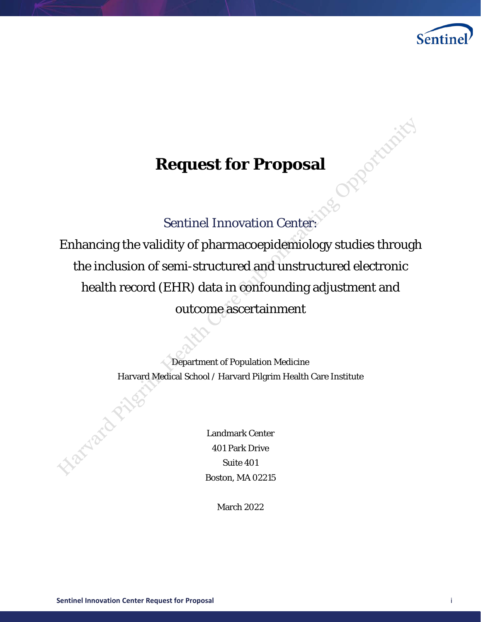

Romanici

# **Request for Proposal**

# Sentinel Innovation Center:

Enhancing the validity of pharmacoepidemiology studies through the inclusion of semi-structured and unstructured electronic health record (EHR) data in confounding adjustment and outcome ascertainment

> Department of Population Medicine Harvard Medical School / Harvard Pilgrim Health Care Institute

> > Landmark Center 401 Park Drive Suite 401 Boston, MA 02215

> > > March 2022

Elatyatorial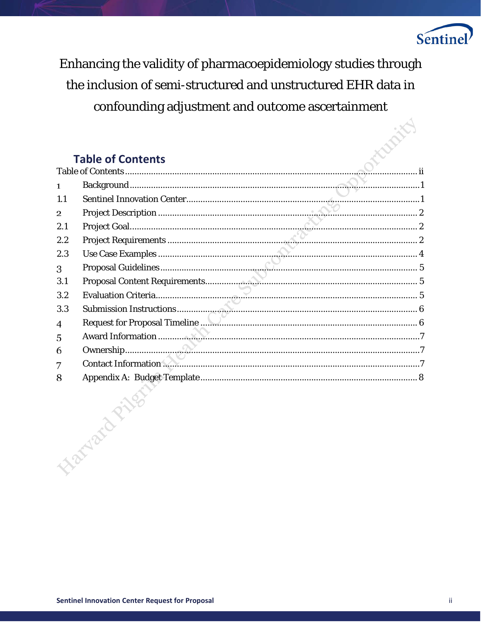

Enhancing the validity of pharmacoepidemiology studies through the inclusion of semi-structured and unstructured EHR data in confounding adjustment and outcome ascertainment

## <span id="page-1-0"></span>**Table of Contents**

| 1   |                      |  |
|-----|----------------------|--|
| 1.1 |                      |  |
| 2   |                      |  |
| 2.1 |                      |  |
| 2.2 |                      |  |
| 2.3 |                      |  |
| 3   |                      |  |
| 3.1 |                      |  |
| 3.2 |                      |  |
| 3.3 |                      |  |
| 4   |                      |  |
| 5   |                      |  |
| 6   |                      |  |
| 7   |                      |  |
| 8   |                      |  |
|     | <b>Handard Pills</b> |  |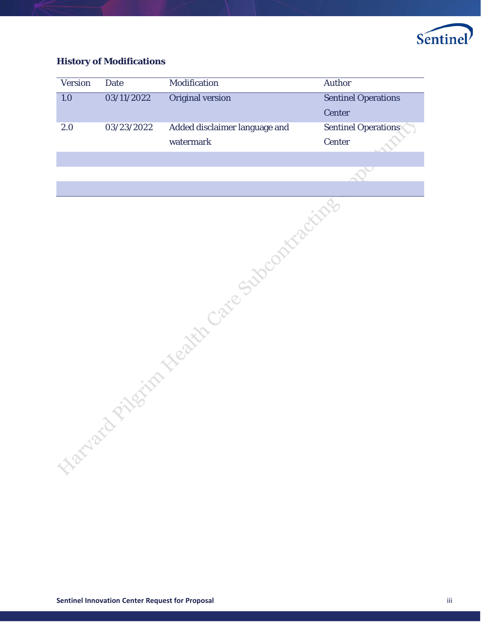

## **History of Modifications**

| Version          | <b>Date</b> | Modification                              | <b>Author</b>              |  |  |
|------------------|-------------|-------------------------------------------|----------------------------|--|--|
| $\overline{1.0}$ | 03/11/2022  | <b>Original version</b>                   | <b>Sentinel Operations</b> |  |  |
|                  |             |                                           | Center                     |  |  |
| 2.0              | 03/23/2022  | Added disclaimer language and             | <b>Sentinel Operations</b> |  |  |
|                  |             | watermark                                 | Center                     |  |  |
|                  |             |                                           |                            |  |  |
|                  |             | ianach rilginn Neath Care Subcontractives |                            |  |  |
|                  |             |                                           |                            |  |  |
|                  |             |                                           |                            |  |  |
|                  |             |                                           |                            |  |  |
|                  |             |                                           |                            |  |  |
|                  |             |                                           |                            |  |  |
|                  |             |                                           |                            |  |  |
|                  |             |                                           |                            |  |  |
|                  |             |                                           |                            |  |  |
|                  |             |                                           |                            |  |  |
|                  |             |                                           |                            |  |  |
|                  |             |                                           |                            |  |  |
|                  |             |                                           |                            |  |  |
|                  |             |                                           |                            |  |  |
|                  |             |                                           |                            |  |  |
|                  |             |                                           |                            |  |  |
|                  |             |                                           |                            |  |  |
|                  |             |                                           |                            |  |  |
|                  |             |                                           |                            |  |  |
|                  |             |                                           |                            |  |  |
|                  |             |                                           |                            |  |  |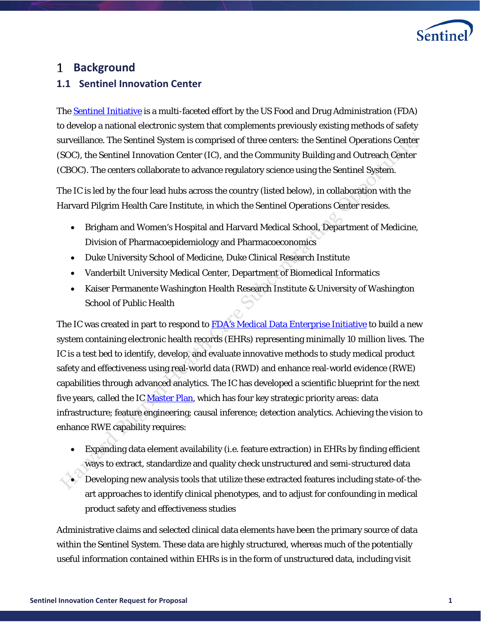

# <span id="page-3-0"></span>**Background**

## <span id="page-3-1"></span>**1.1 Sentinel Innovation Center**

The **[Sentinel Initiative](https://www.sentinelinitiative.org/)** is a multi-faceted effort by the US Food and Drug Administration (FDA) to develop a national electronic system that complements previously existing methods of safety surveillance. The Sentinel System is comprised of three centers: the Sentinel Operations Center (SOC), the Sentinel Innovation Center (IC), and the Community Building and Outreach Center (CBOC). The centers collaborate to advance regulatory science using the Sentinel System.

The IC is led by the four lead hubs across the country (listed below), in collaboration with the Harvard Pilgrim Health Care Institute, in which the Sentinel Operations Center resides.

- Brigham and Women's Hospital and Harvard Medical School, Department of Medicine, Division of Pharmacoepidemiology and Pharmacoeconomics
- Duke University School of Medicine, Duke Clinical Research Institute
- Vanderbilt University Medical Center, Department of Biomedical Informatics
- Kaiser Permanente Washington Health Research Institute & University of Washington School of Public Health

The IC was created in part to respond to [FDA's Medical Data Enterprise Initiative](https://www.fda.gov/news-events/fda-voices/fda-budget-matters-cross-cutting-data-enterprise-real-world-evidence) to build a new system containing electronic health records (EHRs) representing minimally 10 million lives. The IC is a test bed to identify, develop, and evaluate innovative methods to study medical product safety and effectiveness using real-world data (RWD) and enhance real-world evidence (RWE) capabilities through advanced analytics. The IC has developed a scientific blueprint for the next five years, called the IC [Master Plan,](https://www.sentinelinitiative.org/sites/default/files/communications/publications-presentations/IC-Master-Plan.pdf) which has four key strategic priority areas: data infrastructure; feature engineering; causal inference; detection analytics. Achieving the vision to enhance RWE capability requires:

- Expanding data element availability (i.e. feature extraction) in EHRs by finding efficient ways to extract, standardize and quality check unstructured and semi-structured data
- $\sim$  Developing new analysis tools that utilize these extracted features including state-of-theart approaches to identify clinical phenotypes, and to adjust for confounding in medical product safety and effectiveness studies

Administrative claims and selected clinical data elements have been the primary source of data within the Sentinel System. These data are highly structured, whereas much of the potentially useful information contained within EHRs is in the form of unstructured data, including visit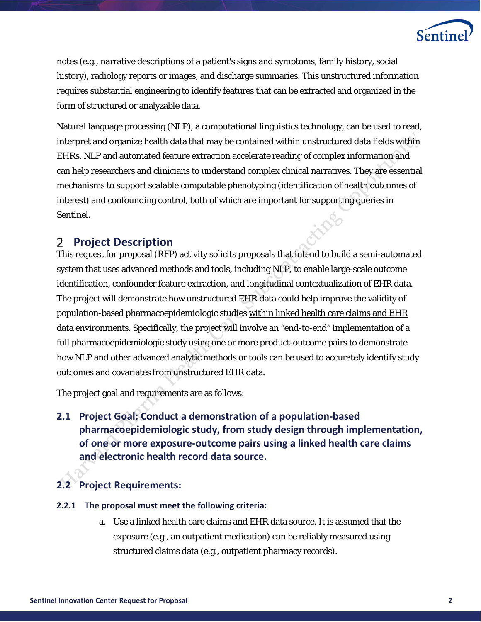

notes (e.g., narrative descriptions of a patient's signs and symptoms, family history, social history), radiology reports or images, and discharge summaries. This unstructured information requires substantial engineering to identify features that can be extracted and organized in the form of structured or analyzable data.

Natural language processing (NLP), a computational linguistics technology, can be used to read, interpret and organize health data that may be contained within unstructured data fields within EHRs. NLP and automated feature extraction accelerate reading of complex information and can help researchers and clinicians to understand complex clinical narratives. They are essential mechanisms to support scalable computable phenotyping (identification of health outcomes of interest) and confounding control, both of which are important for supporting queries in Sentinel.

#### <span id="page-4-0"></span>2 **Project Description**

This request for proposal (RFP) activity solicits proposals that intend to build a semi-automated system that uses advanced methods and tools, including NLP, to enable large-scale outcome identification, confounder feature extraction, and longitudinal contextualization of EHR data. The project will demonstrate how unstructured EHR data could help improve the validity of population-based pharmacoepidemiologic studies within linked health care claims and EHR data environments. Specifically, the project will involve an "end-to-end" implementation of a full pharmacoepidemiologic study using one or more product-outcome pairs to demonstrate how NLP and other advanced analytic methods or tools can be used to accurately identify study outcomes and covariates from unstructured EHR data.

<span id="page-4-1"></span>The project goal and requirements are as follows:

**2.1 Project Goal: Conduct a demonstration of a population-based pharmacoepidemiologic study, from study design through implementation, of one or more exposure-outcome pairs using a linked health care claims and electronic health record data source.** 

## <span id="page-4-2"></span>**2.2 Project Requirements:**

- **2.2.1 The proposal must meet the following criteria:**
	- a. Use a linked health care claims and EHR data source. It is assumed that the exposure (e.g., an outpatient medication) can be reliably measured using structured claims data (e.g., outpatient pharmacy records).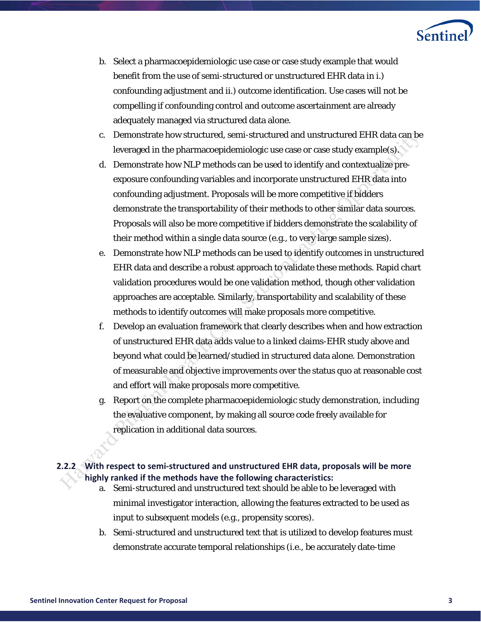

- b. Select a pharmacoepidemiologic use case or case study example that would benefit from the use of semi-structured or unstructured EHR data in i.) confounding adjustment and ii.) outcome identification. Use cases will not be compelling if confounding control and outcome ascertainment are already adequately managed via structured data alone.
- c. Demonstrate how structured, semi-structured and unstructured EHR data can be leveraged in the pharmacoepidemiologic use case or case study example(s).
- d. Demonstrate how NLP methods can be used to identify and contextualize preexposure confounding variables and incorporate unstructured EHR data into confounding adjustment. Proposals will be more competitive if bidders demonstrate the transportability of their methods to other similar data sources. Proposals will also be more competitive if bidders demonstrate the scalability of their method within a single data source (e.g., to very large sample sizes).
- e. Demonstrate how NLP methods can be used to identify outcomes in unstructured EHR data and describe a robust approach to validate these methods. Rapid chart validation procedures would be one validation method, though other validation approaches are acceptable. Similarly, transportability and scalability of these methods to identify outcomes will make proposals more competitive.
- f. Develop an evaluation framework that clearly describes when and how extraction of unstructured EHR data adds value to a linked claims-EHR study above and beyond what could be learned/studied in structured data alone. Demonstration of measurable and objective improvements over the status quo at reasonable cost and effort will make proposals more competitive.
- g. Report on the complete pharmacoepidemiologic study demonstration, including the evaluative component, by making all source code freely available for replication in additional data sources.

### **2.2.2 With respect to semi-structured and unstructured EHR data, proposals will be more highly ranked if the methods have the following characteristics:**

- a. Semi-structured and unstructured text should be able to be leveraged with minimal investigator interaction, allowing the features extracted to be used as input to subsequent models (e.g., propensity scores).
- b. Semi-structured and unstructured text that is utilized to develop features must demonstrate accurate temporal relationships (i.e., be accurately date-time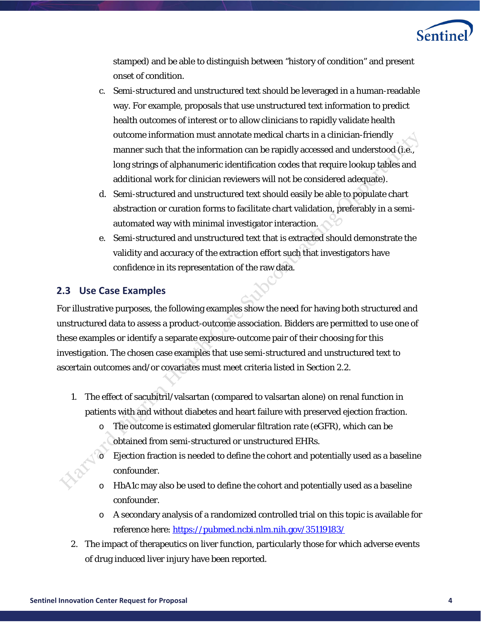

stamped) and be able to distinguish between "history of condition" and present onset of condition.

- c. Semi-structured and unstructured text should be leveraged in a human-readable way. For example, proposals that use unstructured text information to predict health outcomes of interest or to allow clinicians to rapidly validate health outcome information must annotate medical charts in a clinician-friendly manner such that the information can be rapidly accessed and understood (i.e., long strings of alphanumeric identification codes that require lookup tables and additional work for clinician reviewers will not be considered adequate).
- d. Semi-structured and unstructured text should easily be able to populate chart abstraction or curation forms to facilitate chart validation, preferably in a semiautomated way with minimal investigator interaction.
- e. Semi-structured and unstructured text that is extracted should demonstrate the validity and accuracy of the extraction effort such that investigators have confidence in its representation of the raw data.

## <span id="page-6-0"></span>**2.3 Use Case Examples**

For illustrative purposes, the following examples show the need for having both structured and unstructured data to assess a product-outcome association. Bidders are permitted to use one of these examples or identify a separate exposure-outcome pair of their choosing for this investigation. The chosen case examples that use semi-structured and unstructured text to ascertain outcomes and/or covariates must meet criteria listed in Section 2.2.

- 1. The effect of sacubitril/valsartan (compared to valsartan alone) on renal function in patients with and without diabetes and heart failure with preserved ejection fraction.
	- The outcome is estimated glomerular filtration rate (eGFR), which can be obtained from semi-structured or unstructured EHRs.
	- o Ejection fraction is needed to define the cohort and potentially used as a baseline confounder.
	- $\circ$  HbA1c may also be used to define the cohort and potentially used as a baseline confounder.
	- o A secondary analysis of a randomized controlled trial on this topic is available for reference here[: https://pubmed.ncbi.nlm.nih.gov/35119183/](https://pubmed.ncbi.nlm.nih.gov/35119183/)
- 2. The impact of therapeutics on liver function, particularly those for which adverse events of drug induced liver injury have been reported.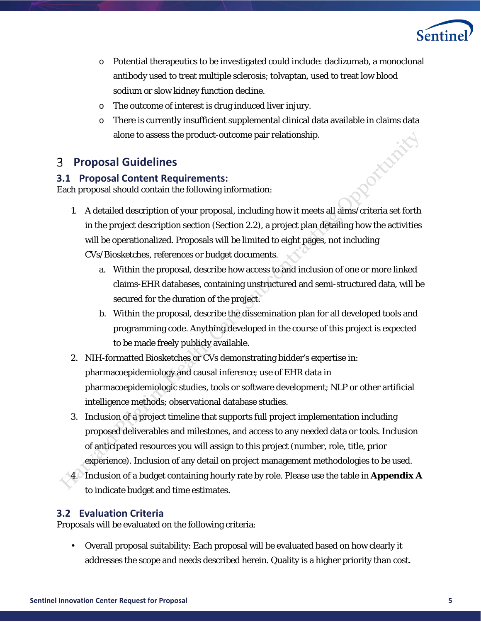

- o Potential therapeutics to be investigated could include: daclizumab, a monoclonal antibody used to treat multiple sclerosis; tolvaptan, used to treat low blood sodium or slow kidney function decline.
- o The outcome of interest is drug induced liver injury.
- $\circ$  There is currently insufficient supplemental clinical data available in claims data alone to assess the product-outcome pair relationship. oxideriti

#### <span id="page-7-0"></span>**Proposal Guidelines** 3

## <span id="page-7-1"></span>**3.1 Proposal Content Requirements:**

Each proposal should contain the following information:

- 1. A detailed description of your proposal, including how it meets all aims/criteria set forth in the project description section (Section 2.2), a project plan detailing how the activities will be operationalized. Proposals will be limited to eight pages, not including CVs/Biosketches, references or budget documents.
	- a. Within the proposal, describe how access to and inclusion of one or more linked claims-EHR databases, containing unstructured and semi-structured data, will be secured for the duration of the project.
	- b. Within the proposal, describe the dissemination plan for all developed tools and programming code. Anything developed in the course of this project is expected to be made freely publicly available.
- 2. NIH-formatted Biosketches or CVs demonstrating bidder's expertise in: pharmacoepidemiology and causal inference; use of EHR data in pharmacoepidemiologic studies, tools or software development; NLP or other artificial intelligence methods; observational database studies.
- 3. Inclusion of a project timeline that supports full project implementation including proposed deliverables and milestones, and access to any needed data or tools. Inclusion of anticipated resources you will assign to this project (number, role, title, prior experience). Inclusion of any detail on project management methodologies to be used.
- 4. Inclusion of a budget containing hourly rate by role. Please use the table in **Appendix A** to indicate budget and time estimates.

## <span id="page-7-2"></span>**3.2 Evaluation Criteria**

Proposals will be evaluated on the following criteria:

• Overall proposal suitability: Each proposal will be evaluated based on how clearly it addresses the scope and needs described herein. Quality is a higher priority than cost.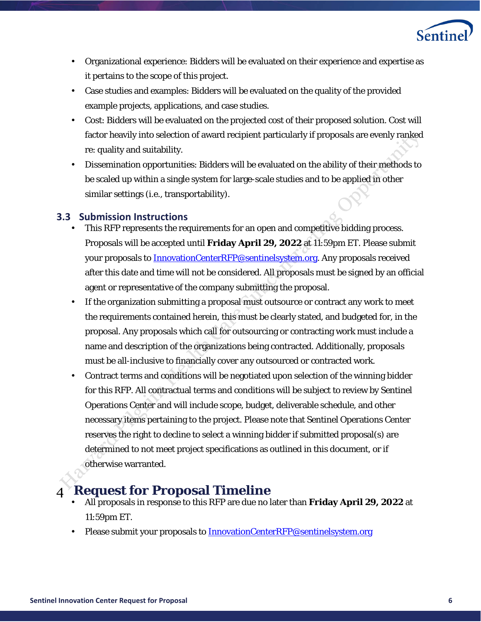

- Organizational experience: Bidders will be evaluated on their experience and expertise as it pertains to the scope of this project.
- Case studies and examples: Bidders will be evaluated on the quality of the provided example projects, applications, and case studies.
- Cost: Bidders will be evaluated on the projected cost of their proposed solution. Cost will factor heavily into selection of award recipient particularly if proposals are evenly ranked re: quality and suitability.
- Dissemination opportunities: Bidders will be evaluated on the ability of their methods to be scaled up within a single system for large-scale studies and to be applied in other similar settings (i.e., transportability).

## <span id="page-8-0"></span>**3.3 Submission Instructions**

- This RFP represents the requirements for an open and competitive bidding process. Proposals will be accepted until **Friday April 29, 2022** at 11:59pm ET. Please submit your proposals to **InnovationCenterRFP@sentinelsystem.org**. Any proposals received after this date and time will not be considered. All proposals must be signed by an official agent or representative of the company submitting the proposal.
- If the organization submitting a proposal must outsource or contract any work to meet the requirements contained herein, this must be clearly stated, and budgeted for, in the proposal. Any proposals which call for outsourcing or contracting work must include a name and description of the organizations being contracted. Additionally, proposals must be all-inclusive to financially cover any outsourced or contracted work.
- Contract terms and conditions will be negotiated upon selection of the winning bidder for this RFP. All contractual terms and conditions will be subject to review by Sentinel Operations Center and will include scope, budget, deliverable schedule, and other necessary items pertaining to the project. Please note that Sentinel Operations Center reserves the right to decline to select a winning bidder if submitted proposal(s) are determined to not meet project specifications as outlined in this document, or if otherwise warranted.

# <span id="page-8-1"></span>**Request for Proposal Timeline**

- All proposals in response to this RFP are due no later than **Friday April 29, 2022** at 11:59pm ET.
- Please submit your proposals to [InnovationCenterRFP@sentinelsystem.org](mailto:InnovationCenterRFP@sentinelsystem.org)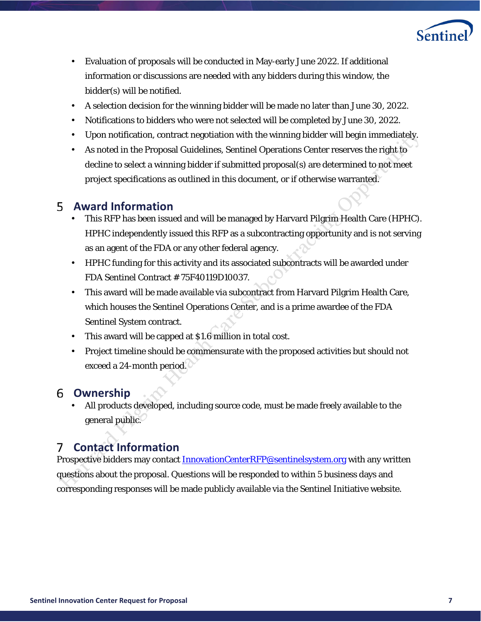

- Evaluation of proposals will be conducted in May-early June 2022. If additional information or discussions are needed with any bidders during this window, the bidder(s) will be notified.
- A selection decision for the winning bidder will be made no later than June 30, 2022.
- Notifications to bidders who were not selected will be completed by June 30, 2022.
- Upon notification, contract negotiation with the winning bidder will begin immediately.
- As noted in the Proposal Guidelines, Sentinel Operations Center reserves the right to decline to select a winning bidder if submitted proposal(s) are determined to not meet project specifications as outlined in this document, or if otherwise warranted.

## <span id="page-9-0"></span>**Award Information**

- This RFP has been issued and will be managed by Harvard Pilgrim Health Care (HPHC). HPHC independently issued this RFP as a subcontracting opportunity and is not serving as an agent of the FDA or any other federal agency.
- HPHC funding for this activity and its associated subcontracts will be awarded under FDA Sentinel Contract # 75F40119D10037.
- This award will be made available via subcontract from Harvard Pilgrim Health Care, which houses the Sentinel Operations Center, and is a prime awardee of the FDA Sentinel System contract.
- This award will be capped at \$1.6 million in total cost.
- Project timeline should be commensurate with the proposed activities but should not exceed a 24-month period.

## <span id="page-9-1"></span>**Ownership**

• All products developed, including source code, must be made freely available to the general public.

#### <span id="page-9-2"></span>**Contact Information**   $7^{\circ}$

Prospective bidders may contac[t InnovationCenterRFP@sentinelsystem.org](mailto:InnovationCenterRFP@sentinelsystem.org) with any written questions about the proposal. Questions will be responded to within 5 business days and corresponding responses will be made publicly available via the Sentinel Initiative website.